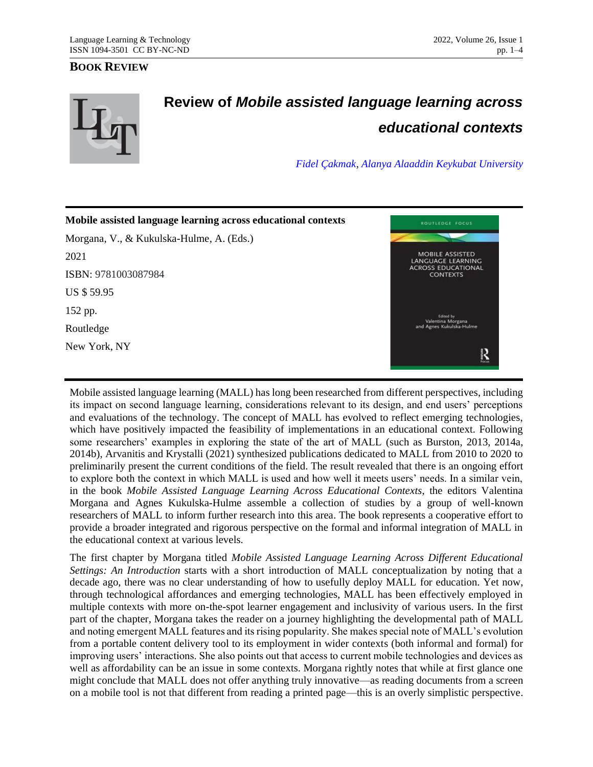## **BOOK REVIEW**



## **Review of** *Mobile assisted language learning across educational contexts*

*[Fidel Çakmak,](mailto:fidel.cakmak@alanya.edu.tr) [Alanya Alaaddin Keykubat University](https://www.alanya.edu.tr/)*



Mobile assisted language learning (MALL) has long been researched from different perspectives, including its impact on second language learning, considerations relevant to its design, and end users' perceptions and evaluations of the technology. The concept of MALL has evolved to reflect emerging technologies, which have positively impacted the feasibility of implementations in an educational context. Following some researchers' examples in exploring the state of the art of MALL (such as Burston, 2013, 2014a, 2014b), Arvanitis and Krystalli (2021) synthesized publications dedicated to MALL from 2010 to 2020 to preliminarily present the current conditions of the field. The result revealed that there is an ongoing effort to explore both the context in which MALL is used and how well it meets users' needs. In a similar vein, in the book *Mobile Assisted Language Learning Across Educational Contexts*, the editors Valentina Morgana and Agnes Kukulska-Hulme assemble a collection of studies by a group of well-known researchers of MALL to inform further research into this area. The book represents a cooperative effort to provide a broader integrated and rigorous perspective on the formal and informal integration of MALL in the educational context at various levels.

The first chapter by Morgana titled *Mobile Assisted Language Learning Across Different Educational Settings: An Introduction* starts with a short introduction of MALL conceptualization by noting that a decade ago, there was no clear understanding of how to usefully deploy MALL for education. Yet now, through technological affordances and emerging technologies, MALL has been effectively employed in multiple contexts with more on-the-spot learner engagement and inclusivity of various users. In the first part of the chapter, Morgana takes the reader on a journey highlighting the developmental path of MALL and noting emergent MALL features and its rising popularity. She makes special note of MALL's evolution from a portable content delivery tool to its employment in wider contexts (both informal and formal) for improving users' interactions. She also points out that access to current mobile technologies and devices as well as affordability can be an issue in some contexts. Morgana rightly notes that while at first glance one might conclude that MALL does not offer anything truly innovative—as reading documents from a screen on a mobile tool is not that different from reading a printed page—this is an overly simplistic perspective.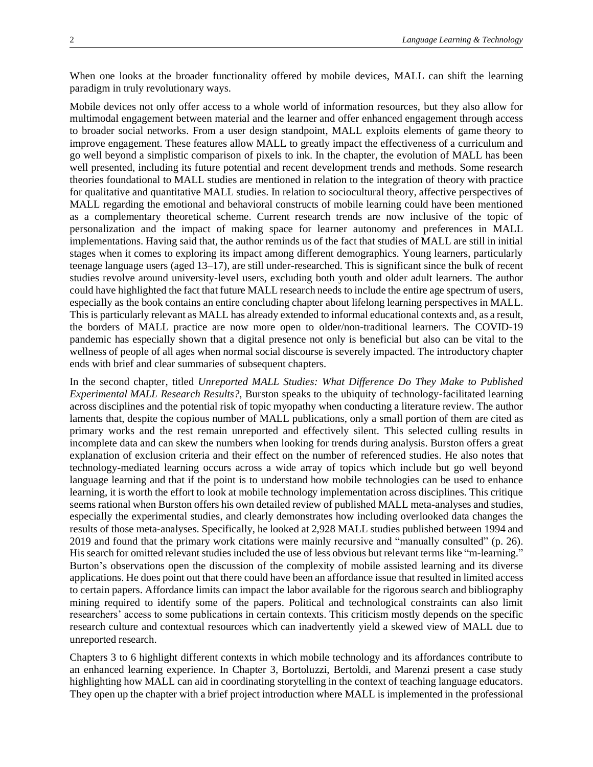When one looks at the broader functionality offered by mobile devices, MALL can shift the learning paradigm in truly revolutionary ways.

Mobile devices not only offer access to a whole world of information resources, but they also allow for multimodal engagement between material and the learner and offer enhanced engagement through access to broader social networks. From a user design standpoint, MALL exploits elements of game theory to improve engagement. These features allow MALL to greatly impact the effectiveness of a curriculum and go well beyond a simplistic comparison of pixels to ink. In the chapter, the evolution of MALL has been well presented, including its future potential and recent development trends and methods. Some research theories foundational to MALL studies are mentioned in relation to the integration of theory with practice for qualitative and quantitative MALL studies. In relation to sociocultural theory, affective perspectives of MALL regarding the emotional and behavioral constructs of mobile learning could have been mentioned as a complementary theoretical scheme. Current research trends are now inclusive of the topic of personalization and the impact of making space for learner autonomy and preferences in MALL implementations. Having said that, the author reminds us of the fact that studies of MALL are still in initial stages when it comes to exploring its impact among different demographics. Young learners, particularly teenage language users (aged 13–17), are still under-researched. This is significant since the bulk of recent studies revolve around university-level users, excluding both youth and older adult learners. The author could have highlighted the fact that future MALL research needs to include the entire age spectrum of users, especially as the book contains an entire concluding chapter about lifelong learning perspectives in MALL. This is particularly relevant as MALL has already extended to informal educational contexts and, as a result, the borders of MALL practice are now more open to older/non-traditional learners. The COVID-19 pandemic has especially shown that a digital presence not only is beneficial but also can be vital to the wellness of people of all ages when normal social discourse is severely impacted. The introductory chapter ends with brief and clear summaries of subsequent chapters.

In the second chapter, titled *Unreported MALL Studies: What Difference Do They Make to Published Experimental MALL Research Results?,* Burston speaks to the ubiquity of technology-facilitated learning across disciplines and the potential risk of topic myopathy when conducting a literature review. The author laments that, despite the copious number of MALL publications, only a small portion of them are cited as primary works and the rest remain unreported and effectively silent. This selected culling results in incomplete data and can skew the numbers when looking for trends during analysis. Burston offers a great explanation of exclusion criteria and their effect on the number of referenced studies. He also notes that technology-mediated learning occurs across a wide array of topics which include but go well beyond language learning and that if the point is to understand how mobile technologies can be used to enhance learning, it is worth the effort to look at mobile technology implementation across disciplines. This critique seems rational when Burston offers his own detailed review of published MALL meta-analyses and studies, especially the experimental studies, and clearly demonstrates how including overlooked data changes the results of those meta-analyses. Specifically, he looked at 2,928 MALL studies published between 1994 and 2019 and found that the primary work citations were mainly recursive and "manually consulted" (p. 26). His search for omitted relevant studies included the use of less obvious but relevant terms like "m-learning." Burton's observations open the discussion of the complexity of mobile assisted learning and its diverse applications. He does point out that there could have been an affordance issue that resulted in limited access to certain papers. Affordance limits can impact the labor available for the rigorous search and bibliography mining required to identify some of the papers. Political and technological constraints can also limit researchers' access to some publications in certain contexts. This criticism mostly depends on the specific research culture and contextual resources which can inadvertently yield a skewed view of MALL due to unreported research.

Chapters 3 to 6 highlight different contexts in which mobile technology and its affordances contribute to an enhanced learning experience. In Chapter 3, Bortoluzzi, Bertoldi, and Marenzi present a case study highlighting how MALL can aid in coordinating storytelling in the context of teaching language educators. They open up the chapter with a brief project introduction where MALL is implemented in the professional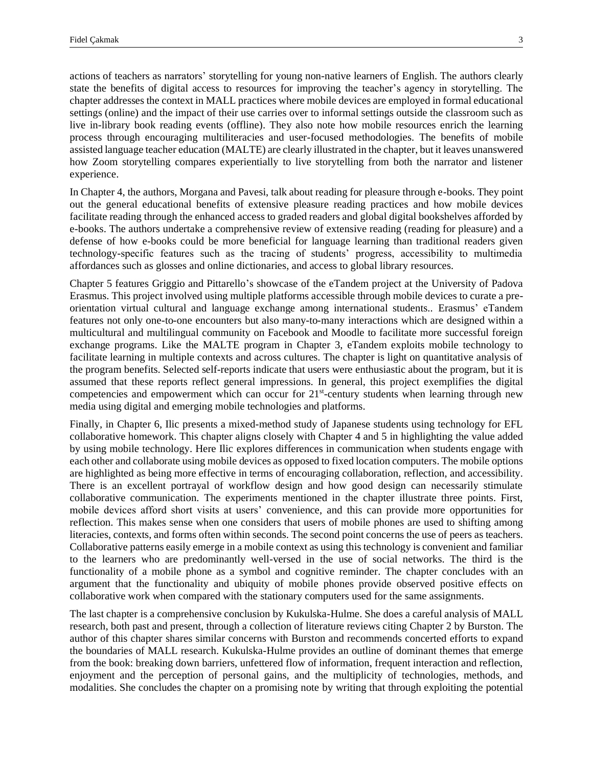actions of teachers as narrators' storytelling for young non-native learners of English. The authors clearly state the benefits of digital access to resources for improving the teacher's agency in storytelling. The chapter addresses the context in MALL practices where mobile devices are employed in formal educational settings (online) and the impact of their use carries over to informal settings outside the classroom such as live in-library book reading events (offline). They also note how mobile resources enrich the learning process through encouraging multiliteracies and user-focused methodologies. The benefits of mobile assisted language teacher education (MALTE) are clearly illustrated in the chapter, but it leaves unanswered how Zoom storytelling compares experientially to live storytelling from both the narrator and listener experience.

In Chapter 4, the authors, Morgana and Pavesi, talk about reading for pleasure through e-books. They point out the general educational benefits of extensive pleasure reading practices and how mobile devices facilitate reading through the enhanced access to graded readers and global digital bookshelves afforded by e-books. The authors undertake a comprehensive review of extensive reading (reading for pleasure) and a defense of how e-books could be more beneficial for language learning than traditional readers given technology-specific features such as the tracing of students' progress, accessibility to multimedia affordances such as glosses and online dictionaries, and access to global library resources.

Chapter 5 features Griggio and Pittarello's showcase of the eTandem project at the University of Padova Erasmus. This project involved using multiple platforms accessible through mobile devices to curate a preorientation virtual cultural and language exchange among international students.. Erasmus' eTandem features not only one-to-one encounters but also many-to-many interactions which are designed within a multicultural and multilingual community on Facebook and Moodle to facilitate more successful foreign exchange programs. Like the MALTE program in Chapter 3, eTandem exploits mobile technology to facilitate learning in multiple contexts and across cultures. The chapter is light on quantitative analysis of the program benefits. Selected self-reports indicate that users were enthusiastic about the program, but it is assumed that these reports reflect general impressions. In general, this project exemplifies the digital competencies and empowerment which can occur for 21<sup>st</sup>-century students when learning through new media using digital and emerging mobile technologies and platforms.

Finally, in Chapter 6, Ilic presents a mixed-method study of Japanese students using technology for EFL collaborative homework. This chapter aligns closely with Chapter 4 and 5 in highlighting the value added by using mobile technology. Here Ilic explores differences in communication when students engage with each other and collaborate using mobile devices as opposed to fixed location computers. The mobile options are highlighted as being more effective in terms of encouraging collaboration, reflection, and accessibility. There is an excellent portrayal of workflow design and how good design can necessarily stimulate collaborative communication. The experiments mentioned in the chapter illustrate three points. First, mobile devices afford short visits at users' convenience, and this can provide more opportunities for reflection. This makes sense when one considers that users of mobile phones are used to shifting among literacies, contexts, and forms often within seconds. The second point concerns the use of peers as teachers. Collaborative patterns easily emerge in a mobile context as using this technology is convenient and familiar to the learners who are predominantly well-versed in the use of social networks. The third is the functionality of a mobile phone as a symbol and cognitive reminder. The chapter concludes with an argument that the functionality and ubiquity of mobile phones provide observed positive effects on collaborative work when compared with the stationary computers used for the same assignments.

The last chapter is a comprehensive conclusion by Kukulska-Hulme. She does a careful analysis of MALL research, both past and present, through a collection of literature reviews citing Chapter 2 by Burston. The author of this chapter shares similar concerns with Burston and recommends concerted efforts to expand the boundaries of MALL research. Kukulska-Hulme provides an outline of dominant themes that emerge from the book: breaking down barriers, unfettered flow of information, frequent interaction and reflection, enjoyment and the perception of personal gains, and the multiplicity of technologies, methods, and modalities. She concludes the chapter on a promising note by writing that through exploiting the potential